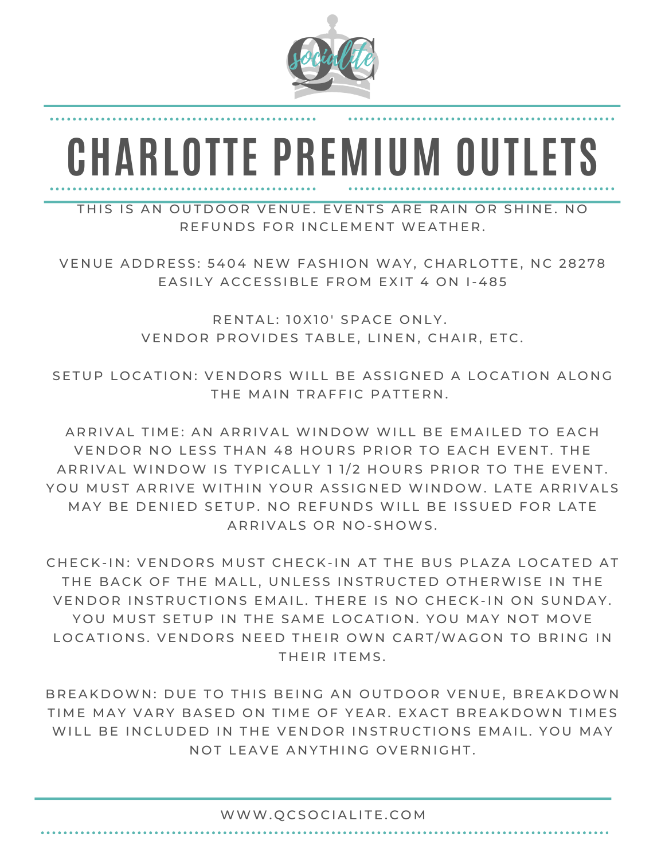

## **CHARLOTTE PREMIUM OUTLETS**

THIS IS AN OUTDOOR VENUE. EVENTS ARE RAIN OR SHINE, NO R F F U N D S F O R I N C LE M F N T W F A T H F R .

VENUE ADDRESS: 5404 NEW FASHION WAY, CHARLOTTE, NC 28278 EASILY ACCESSIBLE FROM EXIT 4 ON 1-485

> RENTAL: 10X10' SPACE ONLY. VENDOR PROVIDES TABLE, LINEN, CHAIR, ETC.

SETUP LOCATION: VENDORS WILL BE ASSIGNED A LOCATION ALONG THE MAIN TRAFFIC PATTERN.

ARRIVAL TIME: AN ARRIVAL WINDOW WILL BE EMAILED TO EACH VENDOR NO LESS THAN 48 HOURS PRIOR TO EACH EVENT. THE ARRIVAL WINDOW IS TYPICALLY 1 1/2 HOURS PRIOR TO THE EVENT. YOU MUST ARRIVE WITHIN YOUR ASSIGNED WINDOW. LATE ARRIVALS MAY BE DENIED SETUP. NO REFUNDS WILL BE ISSUED FOR LATE ARRIVALS OR NO-SHOWS.

CHECK-IN: VENDORS MUST CHECK-IN AT THE BUS PLAZA LOCATED AT THE BACK OF THE MALL, UNLESS INSTRUCTED OTHERWISE IN THE VENDOR INSTRUCTIONS EMAIL. THERE IS NO CHECK-IN ON SUNDAY. YOU MUST SETUP IN THE SAME LOCATION. YOU MAY NOT MOVE LOCATIONS. VENDORS NEED THEIR OWN CART/WAGON TO BRING IN THEIR ITEMS.

BREAKDOWN: DUE TO THIS BEING AN OUTDOOR VENUE, BREAKDOWN TIME MAY VARY BASED ON TIME OF YEAR. EXACT BREAKDOWN TIMES WILL BE INCLUDED IN THE VENDOR INSTRUCTIONS EMAIL. YOU MAY NOT LEAVE ANYTHING OVERNIGHT.

## WWW.QCSOCIALITE.COM